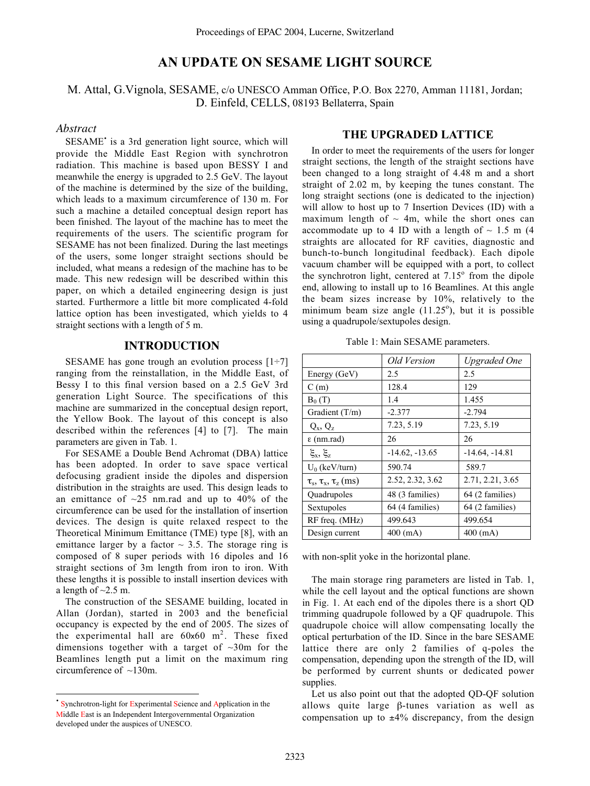# **AN UPDATE ON SESAME LIGHT SOURCE**

## M. Attal, G.Vignola, SESAME, c/o UNESCO Amman Office, P.O. Box 2270, Amman 11181, Jordan; D. Einfeld, CELLS, 08193 Bellaterra, Spain

## *Abstract*

SESAME<sup>•</sup> is a 3rd generation light source, which will provide the Middle East Region with synchrotron radiation. This machine is based upon BESSY I and meanwhile the energy is upgraded to 2.5 GeV. The layout of the machine is determined by the size of the building, which leads to a maximum circumference of 130 m. For such a machine a detailed conceptual design report has been finished. The layout of the machine has to meet the requirements of the users. The scientific program for SESAME has not been finalized. During the last meetings of the users, some longer straight sections should be included, what means a redesign of the machine has to be made. This new redesign will be described within this paper, on which a detailed engineering design is just started. Furthermore a little bit more complicated 4-fold lattice option has been investigated, which yields to 4 straight sections with a length of 5 m.

#### **INTRODUCTION**

SESAME has gone trough an evolution process  $[1\div 7]$ ranging from the reinstallation, in the Middle East, of Bessy I to this final version based on a 2.5 GeV 3rd generation Light Source. The specifications of this machine are summarized in the conceptual design report, the Yellow Book. The layout of this concept is also described within the references [4] to [7]. The main parameters are given in Tab. 1.

For SESAME a Double Bend Achromat (DBA) lattice has been adopted. In order to save space vertical defocusing gradient inside the dipoles and dispersion distribution in the straights are used. This design leads to an emittance of  $\sim$ 25 nm.rad and up to 40% of the circumference can be used for the installation of insertion devices. The design is quite relaxed respect to the Theoretical Minimum Emittance (TME) type [8], with an emittance larger by a factor  $\sim$  3.5. The storage ring is composed of 8 super periods with 16 dipoles and 16 straight sections of 3m length from iron to iron. With these lengths it is possible to install insertion devices with a length of  $\sim$ 2.5 m.

The construction of the SESAME building, located in Allan (Jordan), started in 2003 and the beneficial occupancy is expected by the end of 2005. The sizes of the experimental hall are  $60x60$  m<sup>2</sup>. These fixed dimensions together with a target of ~30m for the Beamlines length put a limit on the maximum ring circumference of  $\sim$ 130m.

 $\overline{a}$ 

### **THE UPGRADED LATTICE**

In order to meet the requirements of the users for longer straight sections, the length of the straight sections have been changed to a long straight of 4.48 m and a short straight of 2.02 m, by keeping the tunes constant. The long straight sections (one is dedicated to the injection) will allow to host up to 7 Insertion Devices (ID) with a maximum length of  $\sim$  4m, while the short ones can accommodate up to 4 ID with a length of  $\sim$  1.5 m (4) straights are allocated for RF cavities, diagnostic and bunch-to-bunch longitudinal feedback). Each dipole vacuum chamber will be equipped with a port, to collect the synchrotron light, centered at  $7.15^{\circ}$  from the dipole end, allowing to install up to 16 Beamlines. At this angle the beam sizes increase by 10%, relatively to the minimum beam size angle  $(11.25^{\circ})$ , but it is possible using a quadrupole/sextupoles design.

Table 1: Main SESAME parameters.

|                                                       | Old Version      | <b>Upgraded One</b> |
|-------------------------------------------------------|------------------|---------------------|
| Energy (GeV)                                          | 2.5              | 2.5                 |
| C(m)                                                  | 128.4            | 129                 |
| $B_0(T)$                                              | 1.4              | 1.455               |
| Gradient $(T/m)$                                      | $-2.377$         | $-2.794$            |
| $Q_x$ , $Q_z$                                         | 7.23, 5.19       | 7.23, 5.19          |
| $\epsilon$ (nm.rad)                                   | 26               | 26                  |
| $\xi_x, \xi_z$                                        | $-14.62, -13.65$ | $-14.64, -14.81$    |
| $U_0$ (keV/turn)                                      | 590.74           | 589.7               |
| $\tau_{\rm s}$ , $\tau_{\rm x}$ , $\tau_{\rm z}$ (ms) | 2.52, 2.32, 3.62 | 2.71, 2.21, 3.65    |
| Quadrupoles                                           | 48 (3 families)  | 64 (2 families)     |
| Sextupoles                                            | 64 (4 families)  | 64 (2 families)     |
| RF freq. (MHz)                                        | 499.643          | 499.654             |
| Design current                                        | $400$ (mA)       | $400$ (mA)          |

with non-split yoke in the horizontal plane.

The main storage ring parameters are listed in Tab. 1, while the cell layout and the optical functions are shown in Fig. 1. At each end of the dipoles there is a short QD trimming quadrupole followed by a QF quadrupole. This quadrupole choice will allow compensating locally the optical perturbation of the ID. Since in the bare SESAME lattice there are only 2 families of q-poles the compensation, depending upon the strength of the ID, will be performed by current shunts or dedicated power supplies.

Let us also point out that the adopted QD-QF solution allows quite large  $\beta$ -tunes variation as well as compensation up to  $\pm 4\%$  discrepancy, from the design

<sup>•</sup> Synchrotron-light for Experimental Science and Application in the Middle East is an Independent Intergovernmental Organization developed under the auspices of UNESCO.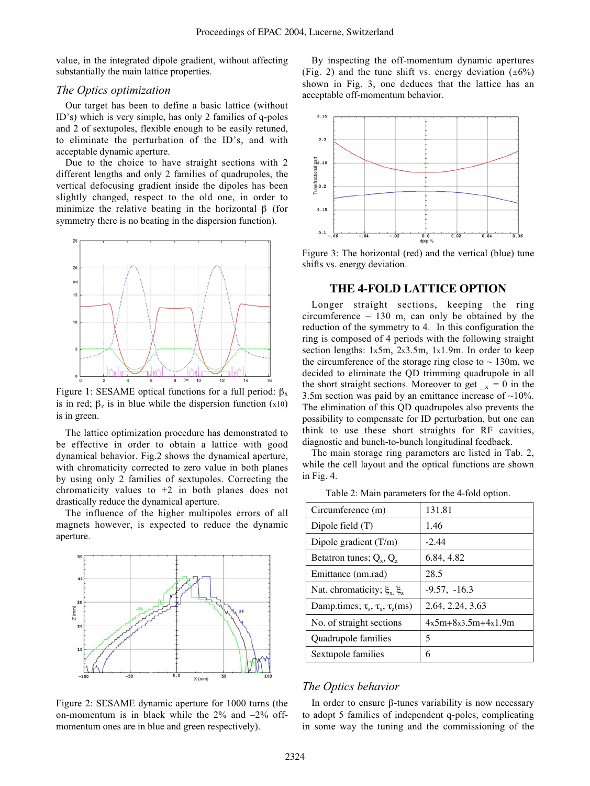value, in the integrated dipole gradient, without affecting substantially the main lattice properties.

#### *The Optics optimization*

Our target has been to define a basic lattice (without ID's) which is very simple, has only 2 families of q-poles and 2 of sextupoles, flexible enough to be easily retuned, to eliminate the perturbation of the ID's, and with acceptable dynamic aperture.

Due to the choice to have straight sections with 2 different lengths and only 2 families of quadrupoles, the vertical defocusing gradient inside the dipoles has been slightly changed, respect to the old one, in order to minimize the relative beating in the horizontal  $\beta$  (for symmetry there is no beating in the dispersion function).



Figure 1: SESAME optical functions for a full period:  $\beta_x$ is in red;  $\beta$ <sub>z</sub> is in blue while the dispersion function (x10) is in green.

The lattice optimization procedure has demonstrated to be effective in order to obtain a lattice with good dynamical behavior. Fig.2 shows the dynamical aperture, with chromaticity corrected to zero value in both planes by using only 2 families of sextupoles. Correcting the chromaticity values to +2 in both planes does not drastically reduce the dynamical aperture.

The influence of the higher multipoles errors of all magnets however, is expected to reduce the dynamic aperture.



Figure 2: SESAME dynamic aperture for 1000 turns (the on-momentum is in black while the  $2\%$  and  $-2\%$  offmomentum ones are in blue and green respectively).

By inspecting the off-momentum dynamic apertures (Fig. 2) and the tune shift vs. energy deviation  $(\pm 6\%)$ shown in Fig. 3, one deduces that the lattice has an acceptable off-momentum behavior.



Figure 3: The horizontal (red) and the vertical (blue) tune shifts vs. energy deviation.

## **THE 4-FOLD LATTICE OPTION**

Longer straight sections, keeping the ring circumference  $\sim$  130 m, can only be obtained by the reduction of the symmetry to 4. In this configuration the ring is composed of 4 periods with the following straight section lengths:  $1x5m$ ,  $2x3.5m$ ,  $1x1.9m$ . In order to keep the circumference of the storage ring close to  $\sim$  130m, we decided to eliminate the QD trimming quadrupole in all the short straight sections. Moreover to get  $x = 0$  in the 3.5m section was paid by an emittance increase of  $\sim$ 10%. The elimination of this QD quadrupoles also prevents the possibility to compensate for ID perturbation, but one can think to use these short straights for RF cavities, diagnostic and bunch-to-bunch longitudinal feedback.

The main storage ring parameters are listed in Tab. 2, while the cell layout and the optical functions are shown in Fig. 4.

| Circumference (m)                               | 131.81               |
|-------------------------------------------------|----------------------|
| Dipole field $(T)$                              | 1.46                 |
| Dipole gradient $(T/m)$                         | $-2.44$              |
| Betatron tunes; $Q_x$ , $Q_z$                   | 6.84, 4.82           |
| Emittance (nm.rad)                              | 28.5                 |
| Nat. chromaticity; $\xi_{x} \xi_{z}$            | $-9.57, -16.3$       |
| Damp.times; $\tau_s$ , $\tau_x$ , $\tau_z$ (ms) | 2.64, 2.24, 3.63     |
| No. of straight sections                        | $4x5m+8x3.5m+4x1.9m$ |
| Quadrupole families                             | 5                    |
| Sextupole families                              | 6                    |

Table 2: Main parameters for the 4-fold option.

#### *The Optics behavior*

In order to ensure  $\beta$ -tunes variability is now necessary to adopt 5 families of independent q-poles, complicating in some way the tuning and the commissioning of the